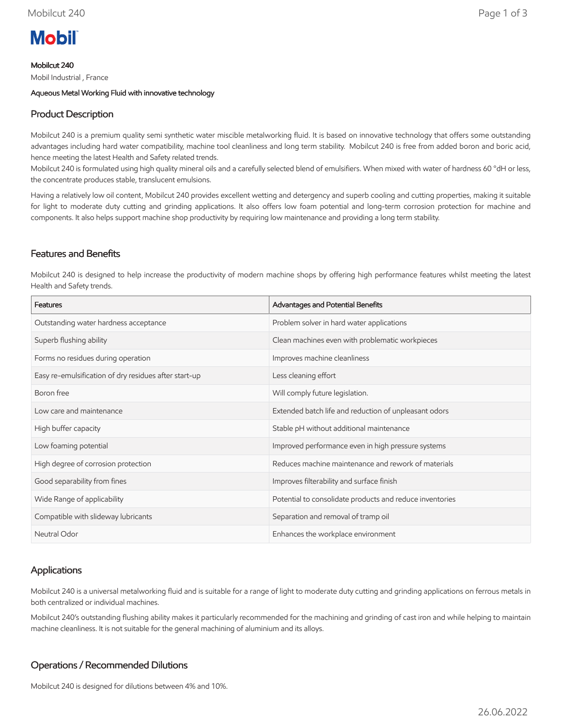# **Mobil**

Mobilcut 240

Mobil Industrial , France

Aqueous Metal Working Fluid with innovative technology

# Product Description

Mobilcut 240 is a premium quality semi synthetic water miscible metalworking fluid. It is based on innovative technology that offers some outstanding advantages including hard water compatibility, machine tool cleanliness and long term stability. Mobilcut 240 is free from added boron and boric acid, hence meeting the latest Health and Safety related trends.

Mobilcut 240 is formulated using high quality mineral oils and a carefully selected blend of emulsifiers. When mixed with water of hardness 60 °dH or less, the concentrate produces stable, translucent emulsions.

Having a relatively low oil content, Mobilcut 240 provides excellent wetting and detergency and superb cooling and cutting properties, making it suitable for light to moderate duty cutting and grinding applications. It also offers low foam potential and long-term corrosion protection for machine and components. It also helps support machine shop productivity by requiring low maintenance and providing a long term stability.

## Features and Benefits

Mobilcut 240 is designed to help increase the productivity of modern machine shops by offering high performance features whilst meeting the latest Health and Safety trends.

| Features                                              | Advantages and Potential Benefits                        |
|-------------------------------------------------------|----------------------------------------------------------|
| Outstanding water hardness acceptance                 | Problem solver in hard water applications                |
| Superb flushing ability                               | Clean machines even with problematic workpieces          |
| Forms no residues during operation                    | Improves machine cleanliness                             |
| Easy re-emulsification of dry residues after start-up | Less cleaning effort                                     |
| Boron free                                            | Will comply future legislation.                          |
| Low care and maintenance                              | Extended batch life and reduction of unpleasant odors    |
| High buffer capacity                                  | Stable pH without additional maintenance                 |
| Low foaming potential                                 | Improved performance even in high pressure systems       |
| High degree of corrosion protection                   | Reduces machine maintenance and rework of materials      |
| Good separability from fines                          | Improves filterability and surface finish                |
| Wide Range of applicability                           | Potential to consolidate products and reduce inventories |
| Compatible with slideway lubricants                   | Separation and removal of tramp oil                      |
| Neutral Odor                                          | Enhances the workplace environment                       |

## Applications

Mobilcut 240 is a universal metalworking fluid and is suitable for a range of light to moderate duty cutting and grinding applications on ferrous metals in both centralized or individual machines.

Mobilcut 240's outstanding flushing ability makes it particularly recommended for the machining and grinding of cast iron and while helping to maintain machine cleanliness. It is not suitable for the general machining of aluminium and its alloys.

## Operations / Recommended Dilutions

Mobilcut 240 is designed for dilutions between 4% and 10%.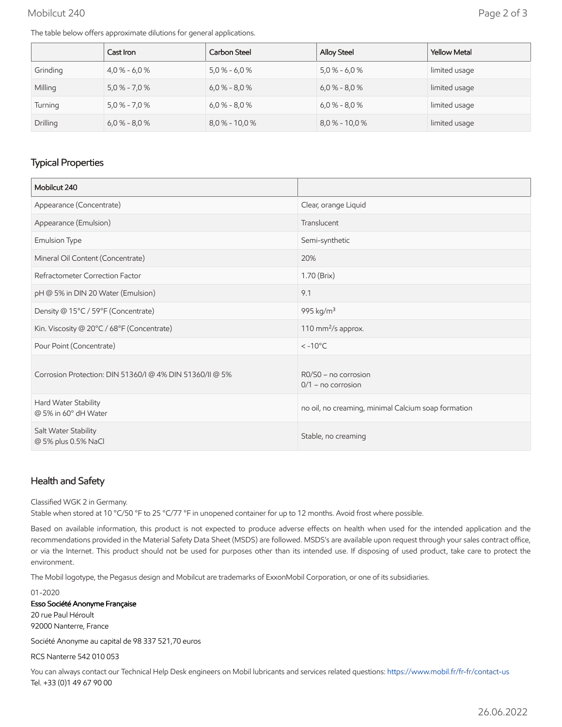#### Mobilcut 240 Page 2 of 3

The table below offers approximate dilutions for general applications.

|          | Cast Iron       | Carbon Steel     | <b>Alloy Steel</b> | <b>Yellow Metal</b> |
|----------|-----------------|------------------|--------------------|---------------------|
| Grinding | $4.0\% - 6.0\%$ | $5,0%$ - 6,0%    | $5,0% - 6,0%$      | limited usage       |
| Milling  | $5,0% - 7,0%$   | $6,0% - 8,0%$    | $6,0% - 8,0%$      | limited usage       |
| Turning  | $5.0\% - 7.0\%$ | $6.0\% - 8.0\%$  | $6.0\% - 8.0\%$    | limited usage       |
| Drilling | $6.0\% - 8.0\%$ | $8.0\% - 10.0\%$ | $8,0% - 10,0%$     | limited usage       |

## Typical Properties

| Mobilcut 240                                             |                                                     |
|----------------------------------------------------------|-----------------------------------------------------|
| Appearance (Concentrate)                                 | Clear, orange Liquid                                |
| Appearance (Emulsion)                                    | Translucent                                         |
| Emulsion Type                                            | Semi-synthetic                                      |
| Mineral Oil Content (Concentrate)                        | 20%                                                 |
| Refractometer Correction Factor                          | 1.70 (Brix)                                         |
| pH @ 5% in DIN 20 Water (Emulsion)                       | 9.1                                                 |
| Density @ 15°C / 59°F (Concentrate)                      | 995 kg/m <sup>3</sup>                               |
| Kin. Viscosity @ 20°C / 68°F (Concentrate)               | 110 mm <sup>2</sup> /s approx.                      |
| Pour Point (Concentrate)                                 | $< -10$ °C                                          |
| Corrosion Protection: DIN 51360/I @ 4% DIN 51360/II @ 5% | $RO/S0$ – no corrosion<br>$0/1$ – no corrosion      |
| Hard Water Stability<br>@ 5% in 60° dH Water             | no oil, no creaming, minimal Calcium soap formation |
| Salt Water Stability<br>@ 5% plus 0.5% NaCl              | Stable, no creaming                                 |

## Health and Safety

Classified WGK 2 in Germany.

Stable when stored at 10 °C/50 °F to 25 °C/77 °F in unopened container for up to 12 months. Avoid frost where possible.

Based on available information, this product is not expected to produce adverse effects on health when used for the intended application and the recommendations provided in the Material Safety Data Sheet (MSDS) are followed. MSDS's are available upon request through your sales contract office, or via the Internet. This product should not be used for purposes other than its intended use. If disposing of used product, take care to protect the environment.

The Mobil logotype, the Pegasus design and Mobilcut are trademarks of ExxonMobil Corporation, or one of its subsidiaries.

01-2020 Esso Société Anonyme Française 20 rue Paul Héroult 92000 Nanterre, France

Société Anonyme au capital de 98 337 521,70 euros

RCS Nanterre 542 010 053

You can always contact our Technical Help Desk engineers on Mobil lubricants and services related questions:<https://www.mobil.fr/fr-fr/contact-us> Tel. +33 (0)1 49 67 90 00